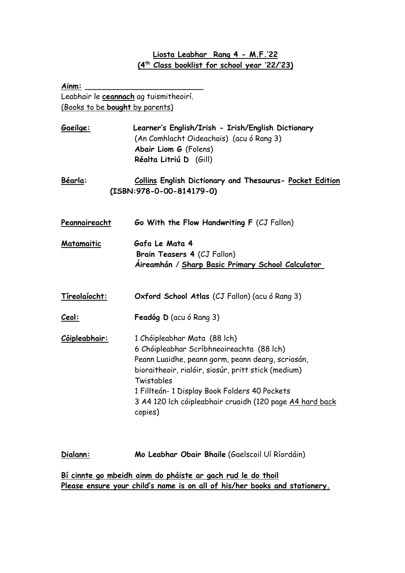## **Liosta Leabhar Rang 4 - M.F.'22 (4th Class booklist for school year '22/'23)**

| Leabhair le ceannach ag tuismitheoirí.                                                                                                                                                                                                                                                                                      |
|-----------------------------------------------------------------------------------------------------------------------------------------------------------------------------------------------------------------------------------------------------------------------------------------------------------------------------|
| (Books to be bought by parents)                                                                                                                                                                                                                                                                                             |
| Learner's English/Irish - Irish/English Dictionary<br>(An Comhlacht Oideachais) (acu ó Rang 3)<br>Abair Liom G (Folens)<br>Réalta Litriú D (Gill)                                                                                                                                                                           |
| Collins English Dictionary and Thesaurus- Pocket Edition<br>$(ISBN:978-0-00-814179-0)$                                                                                                                                                                                                                                      |
| Go With the Flow Handwriting F (CJ Fallon)                                                                                                                                                                                                                                                                                  |
| Gafa Le Mata 4<br>Brain Teasers 4 (CJ Fallon)<br>Aireamhán / Sharp Basic Primary School Calculator                                                                                                                                                                                                                          |
| Oxford School Atlas (CJ Fallon) (acu ó Rang 3)                                                                                                                                                                                                                                                                              |
| Feadóg D (acu ó Rang 3)                                                                                                                                                                                                                                                                                                     |
| 1 Chóipleabhar Mata (88 lch)<br>6 Chóipleabhar Scríbhneoireachta (88 lch)<br>Peann Luaidhe, peann gorm, peann dearg, scriosán,<br>bioraitheoir, rialóir, siosúr, pritt stick (medium)<br>Twistables<br>1 Fillteán- 1 Display Book Folders 40 Pockets<br>3 A4 120 Ich cóipleabhair cruaidh (120 page A4 hard back<br>copies) |
| Mo Leabhar Obair Bhaile (Gaelscoil Uí Ríordáin)<br>tionale of all burn does no oppicate and must detect on op                                                                                                                                                                                                               |
|                                                                                                                                                                                                                                                                                                                             |

**Bí cinnte go mbeidh ainm do pháiste ar gach rud le do thoil Please ensure your child's name is on all of his/her books and stationery.**